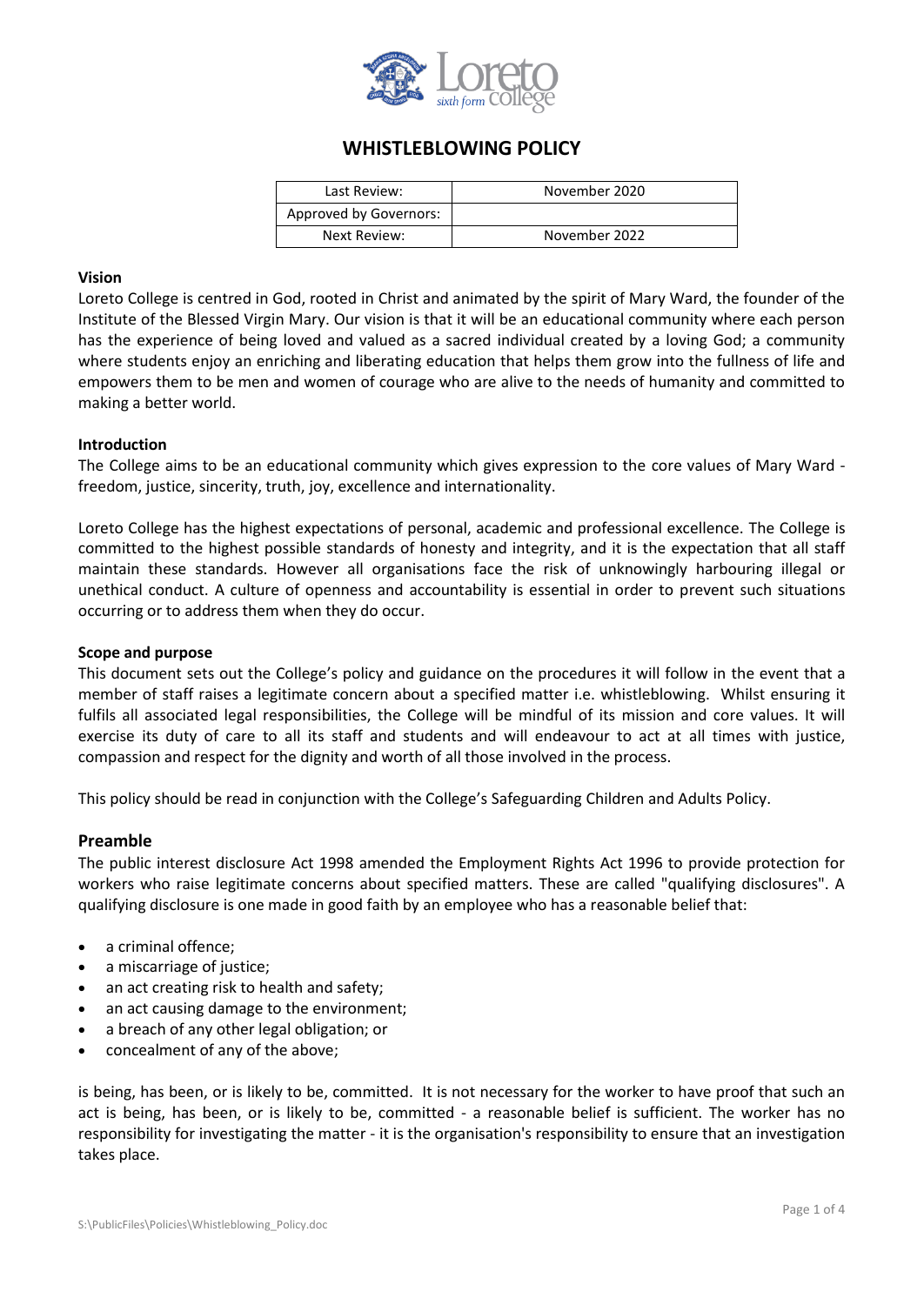

# **WHISTLEBLOWING POLICY**

| Last Review:           | November 2020 |
|------------------------|---------------|
| Approved by Governors: |               |
| Next Review:           | November 2022 |

#### **Vision**

Loreto College is centred in God, rooted in Christ and animated by the spirit of Mary Ward, the founder of the Institute of the Blessed Virgin Mary. Our vision is that it will be an educational community where each person has the experience of being loved and valued as a sacred individual created by a loving God; a community where students enjoy an enriching and liberating education that helps them grow into the fullness of life and empowers them to be men and women of courage who are alive to the needs of humanity and committed to making a better world.

#### **Introduction**

The College aims to be an educational community which gives expression to the core values of Mary Ward freedom, justice, sincerity, truth, joy, excellence and internationality.

Loreto College has the highest expectations of personal, academic and professional excellence. The College is committed to the highest possible standards of honesty and integrity, and it is the expectation that all staff maintain these standards. However all organisations face the risk of unknowingly harbouring illegal or unethical conduct. A culture of openness and accountability is essential in order to prevent such situations occurring or to address them when they do occur.

#### **Scope and purpose**

This document sets out the College's policy and guidance on the procedures it will follow in the event that a member of staff raises a legitimate concern about a specified matter i.e. whistleblowing. Whilst ensuring it fulfils all associated legal responsibilities, the College will be mindful of its mission and core values. It will exercise its duty of care to all its staff and students and will endeavour to act at all times with justice, compassion and respect for the dignity and worth of all those involved in the process.

This policy should be read in conjunction with the College's Safeguarding Children and Adults Policy.

## **Preamble**

The public interest disclosure Act 1998 amended the Employment Rights Act 1996 to provide protection for workers who raise legitimate concerns about specified matters. These are called "qualifying disclosures". A qualifying disclosure is one made in good faith by an employee who has a reasonable belief that:

- a criminal offence;
- a miscarriage of justice;
- an act creating risk to health and safety;
- an act causing damage to the environment;
- a breach of any other legal obligation; or
- concealment of any of the above;

is being, has been, or is likely to be, committed. It is not necessary for the worker to have proof that such an act is being, has been, or is likely to be, committed - a reasonable belief is sufficient. The worker has no responsibility for investigating the matter - it is the organisation's responsibility to ensure that an investigation takes place.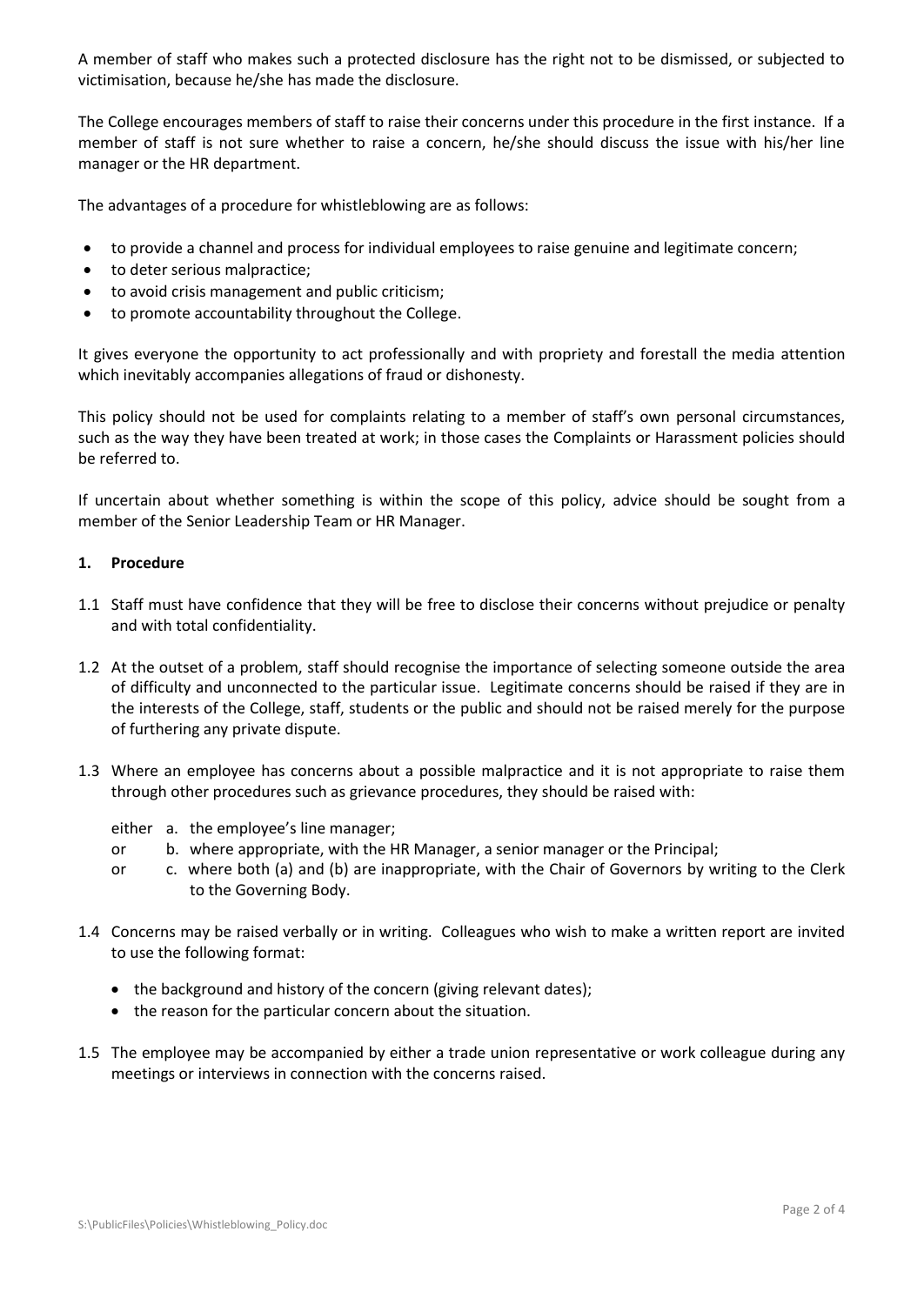A member of staff who makes such a protected disclosure has the right not to be dismissed, or subjected to victimisation, because he/she has made the disclosure.

The College encourages members of staff to raise their concerns under this procedure in the first instance. If a member of staff is not sure whether to raise a concern, he/she should discuss the issue with his/her line manager or the HR department.

The advantages of a procedure for whistleblowing are as follows:

- to provide a channel and process for individual employees to raise genuine and legitimate concern;
- to deter serious malpractice;
- to avoid crisis management and public criticism;
- to promote accountability throughout the College.

It gives everyone the opportunity to act professionally and with propriety and forestall the media attention which inevitably accompanies allegations of fraud or dishonesty.

This policy should not be used for complaints relating to a member of staff's own personal circumstances, such as the way they have been treated at work; in those cases the Complaints or Harassment policies should be referred to.

If uncertain about whether something is within the scope of this policy, advice should be sought from a member of the Senior Leadership Team or HR Manager.

## **1. Procedure**

- 1.1 Staff must have confidence that they will be free to disclose their concerns without prejudice or penalty and with total confidentiality.
- 1.2 At the outset of a problem, staff should recognise the importance of selecting someone outside the area of difficulty and unconnected to the particular issue. Legitimate concerns should be raised if they are in the interests of the College, staff, students or the public and should not be raised merely for the purpose of furthering any private dispute.
- 1.3 Where an employee has concerns about a possible malpractice and it is not appropriate to raise them through other procedures such as grievance procedures, they should be raised with:
	- either a. the employee's line manager;
	- or b. where appropriate, with the HR Manager, a senior manager or the Principal;
	- or c. where both (a) and (b) are inappropriate, with the Chair of Governors by writing to the Clerk to the Governing Body.
- 1.4 Concerns may be raised verbally or in writing. Colleagues who wish to make a written report are invited to use the following format:
	- the background and history of the concern (giving relevant dates);
	- the reason for the particular concern about the situation.
- 1.5 The employee may be accompanied by either a trade union representative or work colleague during any meetings or interviews in connection with the concerns raised.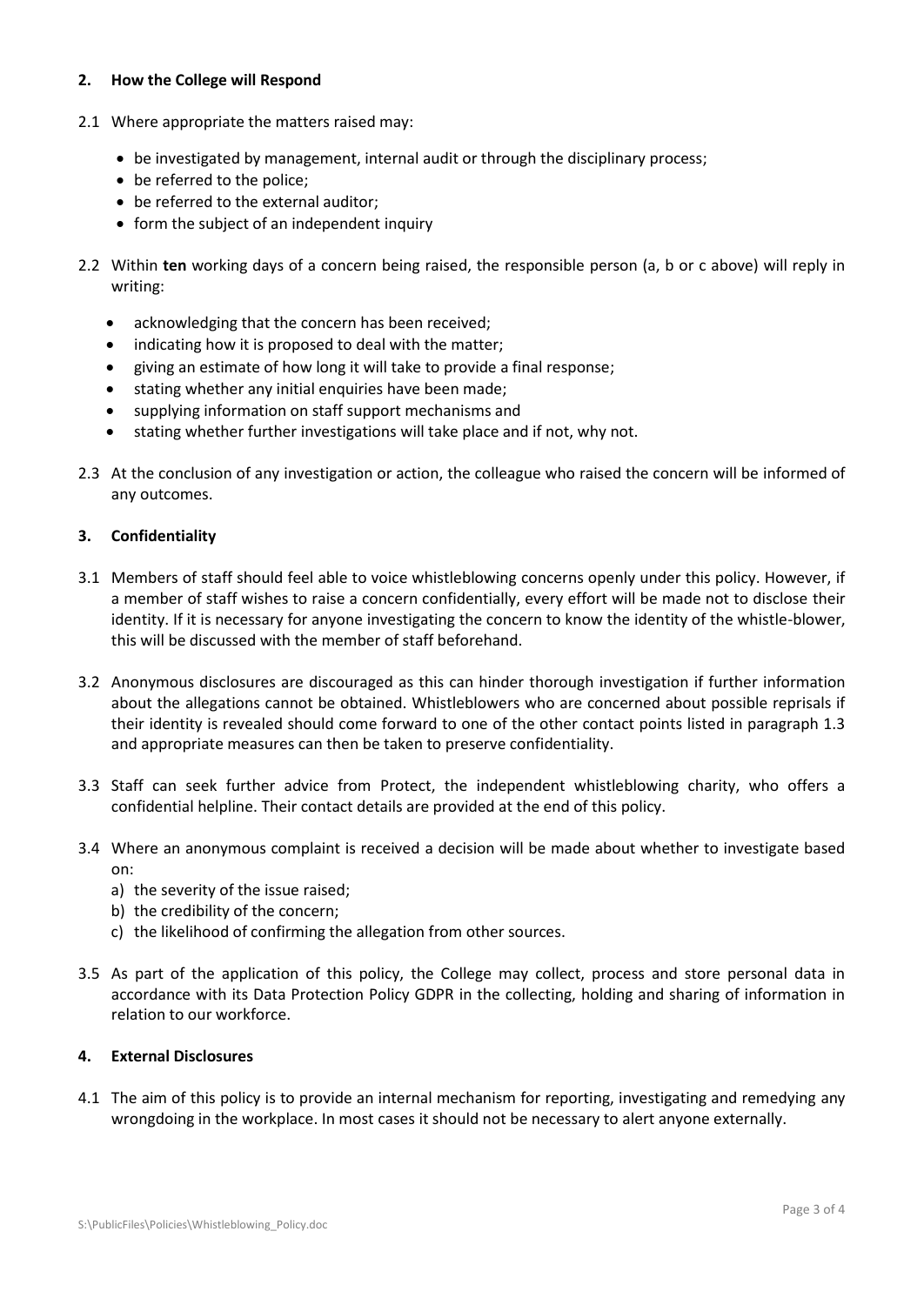## **2. How the College will Respond**

- 2.1 Where appropriate the matters raised may:
	- be investigated by management, internal audit or through the disciplinary process;
	- be referred to the police;
	- be referred to the external auditor;
	- form the subject of an independent inquiry
- 2.2 Within **ten** working days of a concern being raised, the responsible person (a, b or c above) will reply in writing:
	- acknowledging that the concern has been received;
	- indicating how it is proposed to deal with the matter;
	- giving an estimate of how long it will take to provide a final response;
	- stating whether any initial enquiries have been made;
	- supplying information on staff support mechanisms and
	- stating whether further investigations will take place and if not, why not.
- 2.3 At the conclusion of any investigation or action, the colleague who raised the concern will be informed of any outcomes.

## **3. Confidentiality**

- 3.1 Members of staff should feel able to voice whistleblowing concerns openly under this policy. However, if a member of staff wishes to raise a concern confidentially, every effort will be made not to disclose their identity. If it is necessary for anyone investigating the concern to know the identity of the whistle-blower, this will be discussed with the member of staff beforehand.
- 3.2 Anonymous disclosures are discouraged as this can hinder thorough investigation if further information about the allegations cannot be obtained. Whistleblowers who are concerned about possible reprisals if their identity is revealed should come forward to one of the other contact points listed in paragraph 1.3 and appropriate measures can then be taken to preserve confidentiality.
- 3.3 Staff can seek further advice from Protect, the independent whistleblowing charity, who offers a confidential helpline. Their contact details are provided at the end of this policy.
- 3.4 Where an anonymous complaint is received a decision will be made about whether to investigate based on:
	- a) the severity of the issue raised;
	- b) the credibility of the concern;
	- c) the likelihood of confirming the allegation from other sources.
- 3.5 As part of the application of this policy, the College may collect, process and store personal data in accordance with its Data Protection Policy GDPR in the collecting, holding and sharing of information in relation to our workforce.

## **4. External Disclosures**

4.1 The aim of this policy is to provide an internal mechanism for reporting, investigating and remedying any wrongdoing in the workplace. In most cases it should not be necessary to alert anyone externally.